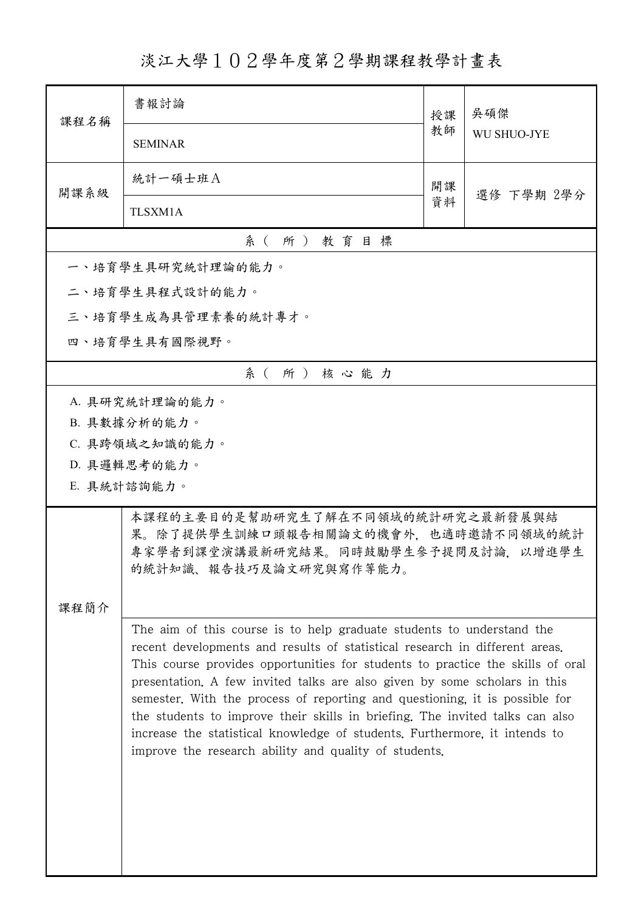淡江大學102學年度第2學期課程教學計畫表

| 課程名稱          | 書報討論                                                                                                                                                                                                                                                                                                                                                                                                                                                                                                                                                                                                                      | 授課 | 吳碩傑<br><b>WU SHUO-JYE</b> |  |
|---------------|---------------------------------------------------------------------------------------------------------------------------------------------------------------------------------------------------------------------------------------------------------------------------------------------------------------------------------------------------------------------------------------------------------------------------------------------------------------------------------------------------------------------------------------------------------------------------------------------------------------------------|----|---------------------------|--|
|               | <b>SEMINAR</b>                                                                                                                                                                                                                                                                                                                                                                                                                                                                                                                                                                                                            | 教師 |                           |  |
| 開課系級          | 統計一碩士班A                                                                                                                                                                                                                                                                                                                                                                                                                                                                                                                                                                                                                   | 開課 | 選修 下學期 2學分                |  |
|               | TLSXM1A                                                                                                                                                                                                                                                                                                                                                                                                                                                                                                                                                                                                                   | 資料 |                           |  |
| 系(所)教育目標      |                                                                                                                                                                                                                                                                                                                                                                                                                                                                                                                                                                                                                           |    |                           |  |
|               | 一、培育學生具研究統計理論的能力。                                                                                                                                                                                                                                                                                                                                                                                                                                                                                                                                                                                                         |    |                           |  |
|               | 二、培育學生具程式設計的能力。                                                                                                                                                                                                                                                                                                                                                                                                                                                                                                                                                                                                           |    |                           |  |
|               | 三、培育學生成為具管理素養的統計專才。                                                                                                                                                                                                                                                                                                                                                                                                                                                                                                                                                                                                       |    |                           |  |
| 四、培育學生具有國際視野。 |                                                                                                                                                                                                                                                                                                                                                                                                                                                                                                                                                                                                                           |    |                           |  |
|               | 系(所)核心能力                                                                                                                                                                                                                                                                                                                                                                                                                                                                                                                                                                                                                  |    |                           |  |
|               | A. 具研究統計理論的能力。                                                                                                                                                                                                                                                                                                                                                                                                                                                                                                                                                                                                            |    |                           |  |
|               | B. 具數據分析的能力。                                                                                                                                                                                                                                                                                                                                                                                                                                                                                                                                                                                                              |    |                           |  |
|               | C. 具跨領域之知識的能力。                                                                                                                                                                                                                                                                                                                                                                                                                                                                                                                                                                                                            |    |                           |  |
|               | D. 具邏輯思考的能力。                                                                                                                                                                                                                                                                                                                                                                                                                                                                                                                                                                                                              |    |                           |  |
|               | E. 具統計諮詢能力。                                                                                                                                                                                                                                                                                                                                                                                                                                                                                                                                                                                                               |    |                           |  |
|               | 本課程的主要目的是幫助研究生了解在不同領域的統計研究之最新發展與結<br>果。除了提供學生訓練口頭報告相關論文的機會外,也適時邀請不同領域的統計<br>專家學者到課堂演講最新研究結果。同時鼓勵學生參予提問及討論,以增進學生<br>的統計知識、報告技巧及論文研究與寫作等能力。                                                                                                                                                                                                                                                                                                                                                                                                                                                                                 |    |                           |  |
| 課程簡介          |                                                                                                                                                                                                                                                                                                                                                                                                                                                                                                                                                                                                                           |    |                           |  |
|               | The aim of this course is to help graduate students to understand the<br>recent developments and results of statistical research in different areas.<br>This course provides opportunities for students to practice the skills of oral<br>presentation. A few invited talks are also given by some scholars in this<br>semester. With the process of reporting and questioning, it is possible for<br>the students to improve their skills in briefing. The invited talks can also<br>increase the statistical knowledge of students. Furthermore, it intends to<br>improve the research ability and quality of students. |    |                           |  |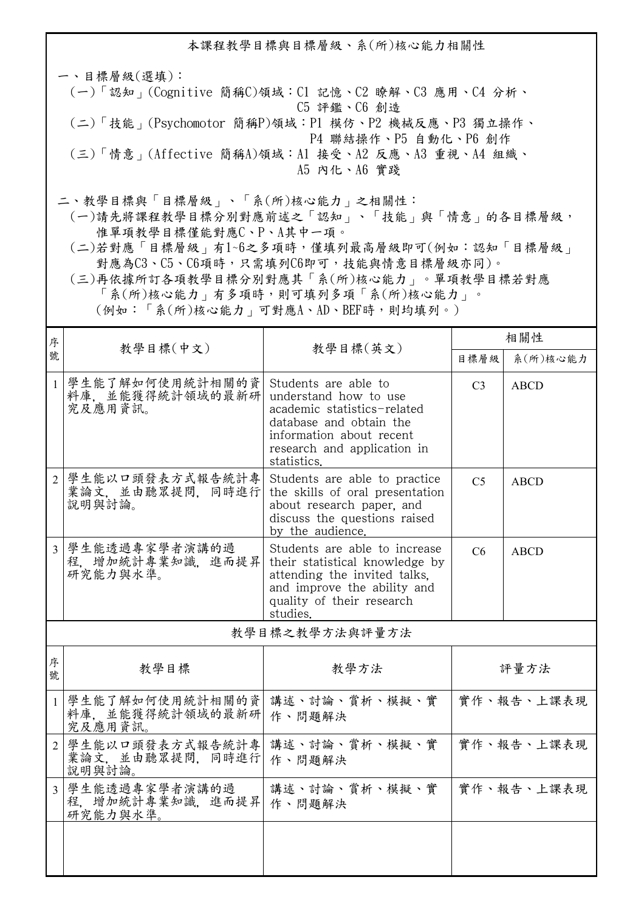本課程教學目標與目標層級、系(所)核心能力相關性 一、目標層級(選填): (一)「認知」(Cognitive 簡稱C)領域:C1 記憶、C2 瞭解、C3 應用、C4 分析、 C5 評鑑、C6 創造 (二)「技能」(Psychomotor 簡稱P)領域:P1 模仿、P2 機械反應、P3 獨立操作、 P4 聯結操作、P5 自動化、P6 創作 (三)「情意」(Affective 簡稱A)領域:A1 接受、A2 反應、A3 重視、A4 組織、 A5 內化、A6 實踐 二、教學目標與「目標層級」、「系(所)核心能力」之相關性:

 (一)請先將課程教學目標分別對應前述之「認知」、「技能」與「情意」的各目標層級, 惟單項教學目標僅能對應C、P、A其中一項。

 (二)若對應「目標層級」有1~6之多項時,僅填列最高層級即可(例如:認知「目標層級」 對應為C3、C5、C6項時,只需填列C6即可,技能與情意目標層級亦同)。

 (三)再依據所訂各項教學目標分別對應其「系(所)核心能力」。單項教學目標若對應 「系(所)核心能力」有多項時,則可填列多項「系(所)核心能力」。

(例如:「系(所)核心能力」可對應A、AD、BEF時,則均填列。)

| 序              |                                                |                                                                                                                                                                                   | 相關性            |             |  |  |
|----------------|------------------------------------------------|-----------------------------------------------------------------------------------------------------------------------------------------------------------------------------------|----------------|-------------|--|--|
| 號              | 教學目標(中文)                                       | 教學目標(英文)                                                                                                                                                                          | 目標層級           | 系(所)核心能力    |  |  |
| $\mathbf{1}$   | 學生能了解如何使用統計相關的資<br>料庫, 並能獲得統計領域的最新研<br>究及應用資訊。 | Students are able to<br>understand how to use<br>academic statistics-related<br>database and obtain the<br>information about recent<br>research and application in<br>statistics. | C <sub>3</sub> | ABCD        |  |  |
| $\mathcal{L}$  | 學生能以口頭發表方式報告統計專<br>業論文, 並由聽眾提問, 同時進行<br>說明與討論。 | Students are able to practice<br>the skills of oral presentation<br>about research paper, and<br>discuss the questions raised<br>by the audience.                                 | C <sub>5</sub> | <b>ABCD</b> |  |  |
| 3              | 學生能透過專家學者演講的過<br>程, 增加統計專業知識, 進而提昇<br>研究能力與水準。 | Students are able to increase<br>their statistical knowledge by<br>attending the invited talks.<br>and improve the ability and<br>quality of their research<br>studies.           | C6             | <b>ABCD</b> |  |  |
| 教學目標之教學方法與評量方法 |                                                |                                                                                                                                                                                   |                |             |  |  |
| 序<br>號         | 教學目標                                           | 教學方法                                                                                                                                                                              |                | 評量方法        |  |  |
| $\mathbf{1}$   | 學生能了解如何使用統計相關的資<br>料庫, 並能獲得統計領域的最新研<br>究及應用資訊。 | 講述、討論、賞析、模擬、實<br>作、問題解決                                                                                                                                                           | 實作、報告、上課表現     |             |  |  |
| 2              | 學生能以口頭發表方式報告統計專<br>業論文, 並由聽眾提問, 同時進行<br>說明與討論。 | 講述、討論、賞析、模擬、實<br>作、問題解決                                                                                                                                                           |                | 實作、報告、上課表現  |  |  |
| 3              | 學生能透過專家學者演講的過<br>程、增加統計專業知識、進而提昇<br>研究能力與水準。   | 講述、討論、賞析、模擬、實<br>作、問題解決                                                                                                                                                           |                | 實作、報告、上課表現  |  |  |
|                |                                                |                                                                                                                                                                                   |                |             |  |  |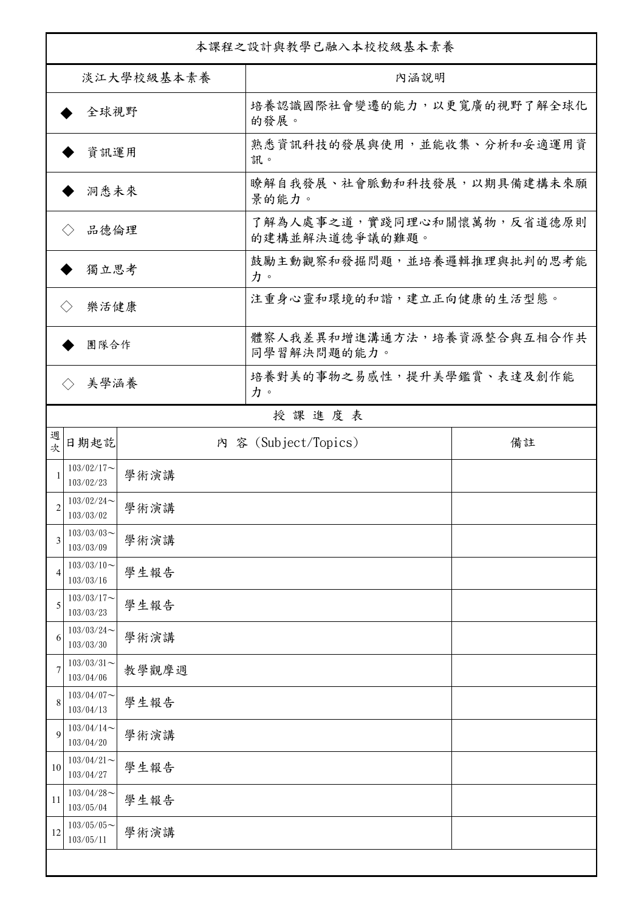| 本課程之設計與教學已融入本校校級基本素養        |                            |       |                                              |    |  |
|-----------------------------|----------------------------|-------|----------------------------------------------|----|--|
| 淡江大學校級基本素養                  |                            |       | 內涵說明                                         |    |  |
| 全球視野                        |                            |       | 培養認識國際社會變遷的能力,以更寬廣的視野了解全球化<br>的發展。           |    |  |
| 資訊運用                        |                            |       | 熟悉資訊科技的發展與使用,並能收集、分析和妥適運用資<br>訊。             |    |  |
| 洞悉未來                        |                            |       | 瞭解自我發展、社會脈動和科技發展,以期具備建構未來願<br>景的能力。          |    |  |
| 品德倫理                        |                            |       | 了解為人處事之道,實踐同理心和關懷萬物,反省道德原則<br>的建構並解決道德爭議的難題。 |    |  |
| 獨立思考                        |                            |       | 鼓勵主動觀察和發掘問題,並培養邏輯推理與批判的思考能<br>力。             |    |  |
| 樂活健康<br>$\langle \ \rangle$ |                            |       | 注重身心靈和環境的和諧,建立正向健康的生活型態。                     |    |  |
| 團隊合作                        |                            |       | 體察人我差異和增進溝通方法,培養資源整合與互相合作共<br>同學習解決問題的能力。    |    |  |
|                             | 美學涵養<br>$\langle \rangle$  |       | 培養對美的事物之易感性,提升美學鑑賞、表達及創作能<br>力。              |    |  |
|                             | 授課進度表                      |       |                                              |    |  |
| 週<br>欤                      | 日期起訖                       |       | 内 容 (Subject/Topics)                         | 備註 |  |
| 1                           | $103/02/17$ ~<br>103/02/23 | 學術演講  |                                              |    |  |
| $\overline{c}$              | $103/02/24$ ~<br>103/03/02 | 學術演講  |                                              |    |  |
| 3                           | $103/03/03$ ~<br>103/03/09 | 學術演講  |                                              |    |  |
| $\overline{4}$              | $103/03/10$ ~<br>103/03/16 | 學生報告  |                                              |    |  |
| 5                           | $103/03/17$ ~<br>103/03/23 | 學生報告  |                                              |    |  |
| 6                           | $103/03/24$ ~<br>103/03/30 | 學術演講  |                                              |    |  |
| 7                           | $103/03/31$ ~<br>103/04/06 | 教學觀摩週 |                                              |    |  |
| 8                           | $103/04/07$ ~<br>103/04/13 | 學生報告  |                                              |    |  |
| 9                           | $103/04/14$ ~<br>103/04/20 | 學術演講  |                                              |    |  |
| 10                          | $103/04/21$ ~<br>103/04/27 | 學生報告  |                                              |    |  |
| 11                          | $103/04/28$ ~<br>103/05/04 | 學生報告  |                                              |    |  |
| 12                          | $103/05/05$ ~<br>103/05/11 | 學術演講  |                                              |    |  |
|                             |                            |       |                                              |    |  |